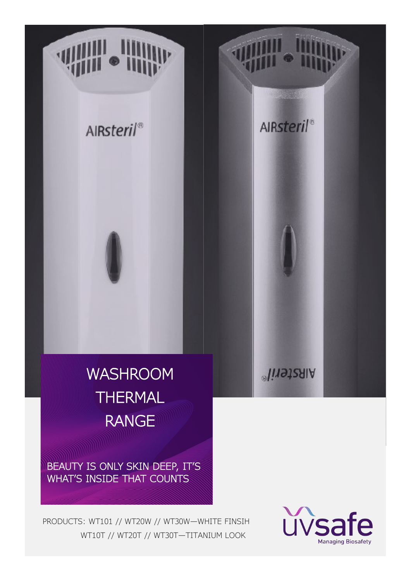



BEAUTY IS ONLY SKIN DEEP, IT'S WHAT'S INSIDE THAT COUNTS

PRODUCTS: WT101 // WT20W // WT30W—WHITE FINSIH WT10T // WT20T // WT30T—TITANIUM LOOK

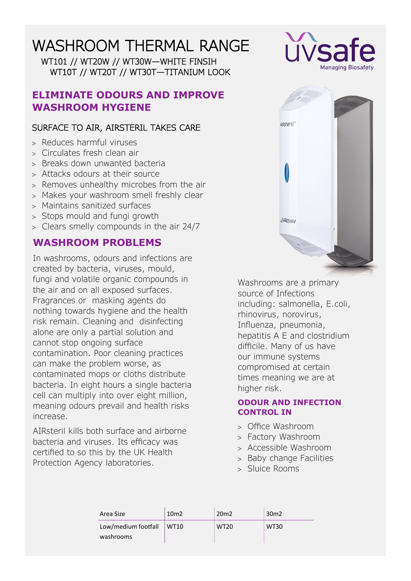WT101 // WT20W // WT30W—WHITE FINSIH WT10T // WT20T // WT30T—TITANIUM LOOK

### **ELIMINATE ODOURS AND IMPROVE WASHROOM HYGIENE**

### SURFACE TO AIR, AIRSTERIL TAKES CARE

- Reduces harmful viruses
- Circulates fresh clean air
- Breaks down unwanted bacteria
- Attacks odours at their source
- > Removes unhealthy microbes from the air
- Makes your washroom smell freshly clear
- Maintains sanitized surfaces
- Stops mould and fungi growth
- Clears smelly compounds in the air 24/7

## **WASHROOM PROBLEMS**

In washrooms, odours and infections are created by bacteria, viruses, mould, fungi and volatile organic compounds in the air and on all exposed surfaces. Fragrances or masking agents do nothing towards hygiene and the health risk remain. Cleaning and disinfecting alone are only a partial solution and cannot stop ongoing surface contamination. Poor cleaning practices can make the problem worse, as contaminated mops or cloths distribute bacteria. In eight hours a single bacteria cell can multiply into over eight million, meaning odours prevail and health risks increase.

AIRsteril kills both surface and airborne bacteria and viruses. Its efficacy was certified to so this by the UK Health Protection Agency laboratories.





Washrooms are a primary source of Infections including: salmonella, E.coli, rhinovirus, norovirus, Influenza, pneumonia, hepatitis A E and clostridium difficile. Many of us have our immune systems compromised at certain times meaning we are at higher risk.

### **ODOUR AND INFECTION CONTROL IN**

- Office Washroom
- Factory Washroom
- Accessible Washroom
- > Baby change Facilities
- Sluice Rooms

| Area Size                | 10 <sub>m2</sub> | 20 <sub>m</sub> 2 | 30 <sub>m</sub> 2 |
|--------------------------|------------------|-------------------|-------------------|
| Low/medium footfall WT10 |                  | <b>WT20</b>       | <b>WT30</b>       |
| washrooms                |                  |                   |                   |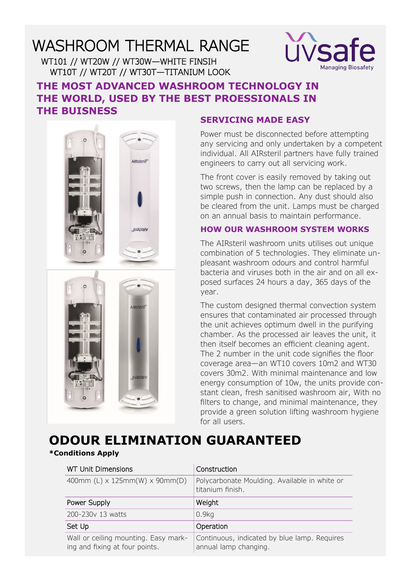WT101 // WT20W // WT30W—WHITE FINSIH WT10T // WT20T // WT30T—TITANIUM LOOK



## **THE MOST ADVANCED WASHROOM TECHNOLOGY IN THE WORLD, USED BY THE BEST PROESSIONALS IN THE BUISNESS**



### **SERVICING MADE EASY**

Power must be disconnected before attempting any servicing and only undertaken by a competent individual. All AIRsteril partners have fully trained engineers to carry out all servicing work.

The front cover is easily removed by taking out two screws, then the lamp can be replaced by a simple push in connection. Any dust should also be cleared from the unit. Lamps must be charged on an annual basis to maintain performance.

### **HOW OUR WASHROOM SYSTEM WORKS**

The AIRsteril washroom units utilises out unique combination of 5 technologies. They eliminate unpleasant washroom odours and control harmful bacteria and viruses both in the air and on all exposed surfaces 24 hours a day, 365 days of the year.

The custom designed thermal convection system ensures that contaminated air processed through the unit achieves optimum dwell in the purifying chamber. As the processed air leaves the unit, it then itself becomes an efficient cleaning agent. The 2 number in the unit code signifies the floor coverage area—an WT10 covers 10m2 and WT30 covers 30m2. With minimal maintenance and low energy consumption of 10w, the units provide constant clean, fresh sanitised washroom air, With no filters to change, and minimal maintenance, they provide a green solution lifting washroom hygiene for all users.

# **ODOUR ELIMINATION GUARANTEED**

### **\*Conditions Apply**

| <b>WT Unit Dimensions</b>                                              | Construction                                                          |
|------------------------------------------------------------------------|-----------------------------------------------------------------------|
| 400mm (L) $\times$ 125mm(W) $\times$ 90mm(D)                           | Polycarbonate Moulding. Available in white or<br>titanium finish.     |
| Power Supply                                                           | Weight                                                                |
| 200-230y 13 watts                                                      | 0.9kg                                                                 |
| Set Up                                                                 | Operation                                                             |
| Wall or ceiling mounting. Easy mark-<br>ing and fixing at four points. | Continuous, indicated by blue lamp. Requires<br>annual lamp changing. |